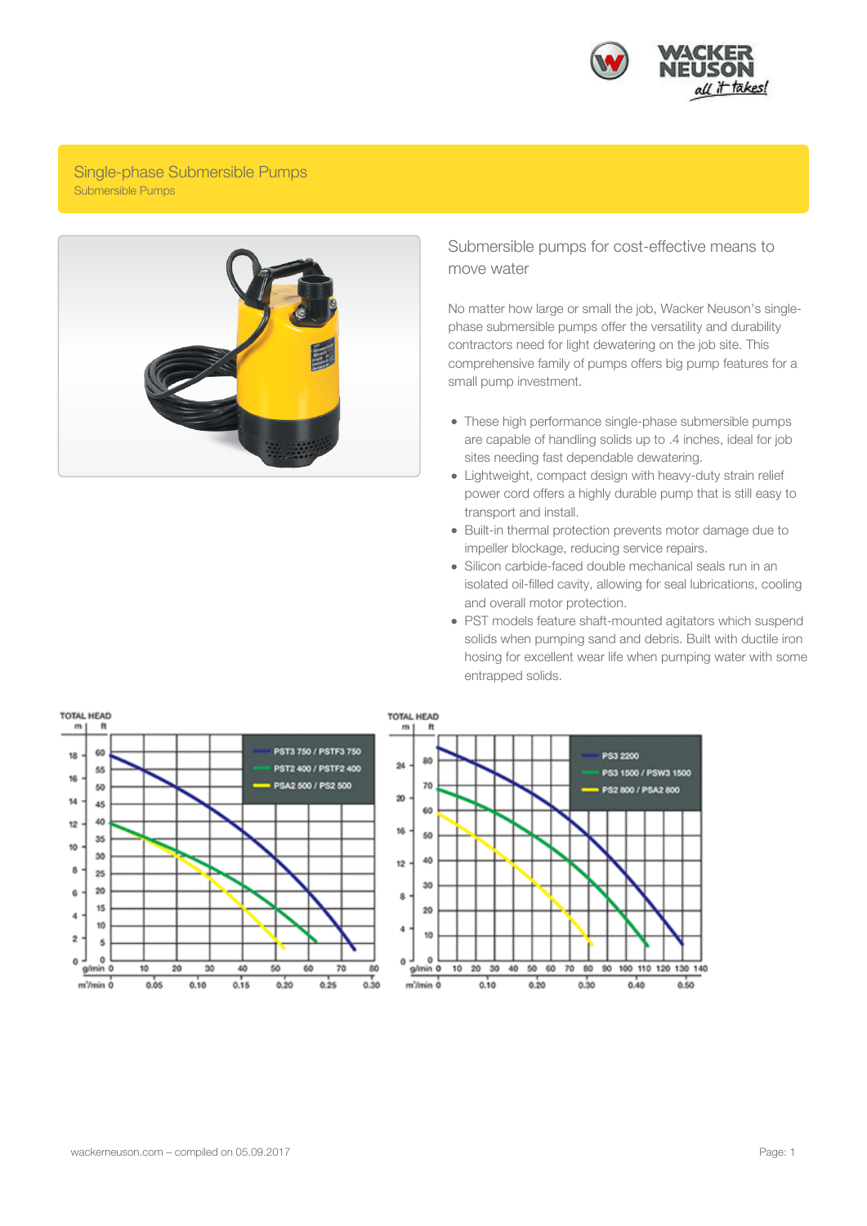

## Single-phase Submersible Pumps Submersible Pumps



## Submersible pumps for cost-effective means to move water

No matter how large or small the job, Wacker Neuson's singlephase submersible pumps offer the versatility and durability contractors need for light dewatering on the job site. This comprehensive family of pumps offers big pump features for a small pump investment.

- These high performance single-phase submersible pumps are capable of handling solids up to .4 inches, ideal for job sites needing fast dependable dewatering.
- Lightweight, compact design with heavy-duty strain relief power cord offers a highly durable pump that is still easy to transport and install.
- Built-in thermal protection prevents motor damage due to impeller blockage, reducing service repairs.
- Silicon carbide-faced double mechanical seals run in an isolated oil-filled cavity, allowing for seal lubrications, cooling and overall motor protection.
- PST models feature shaft-mounted agitators which suspend solids when pumping sand and debris. Built with ductile iron hosing for excellent wear life when pumping water with some entrapped solids.

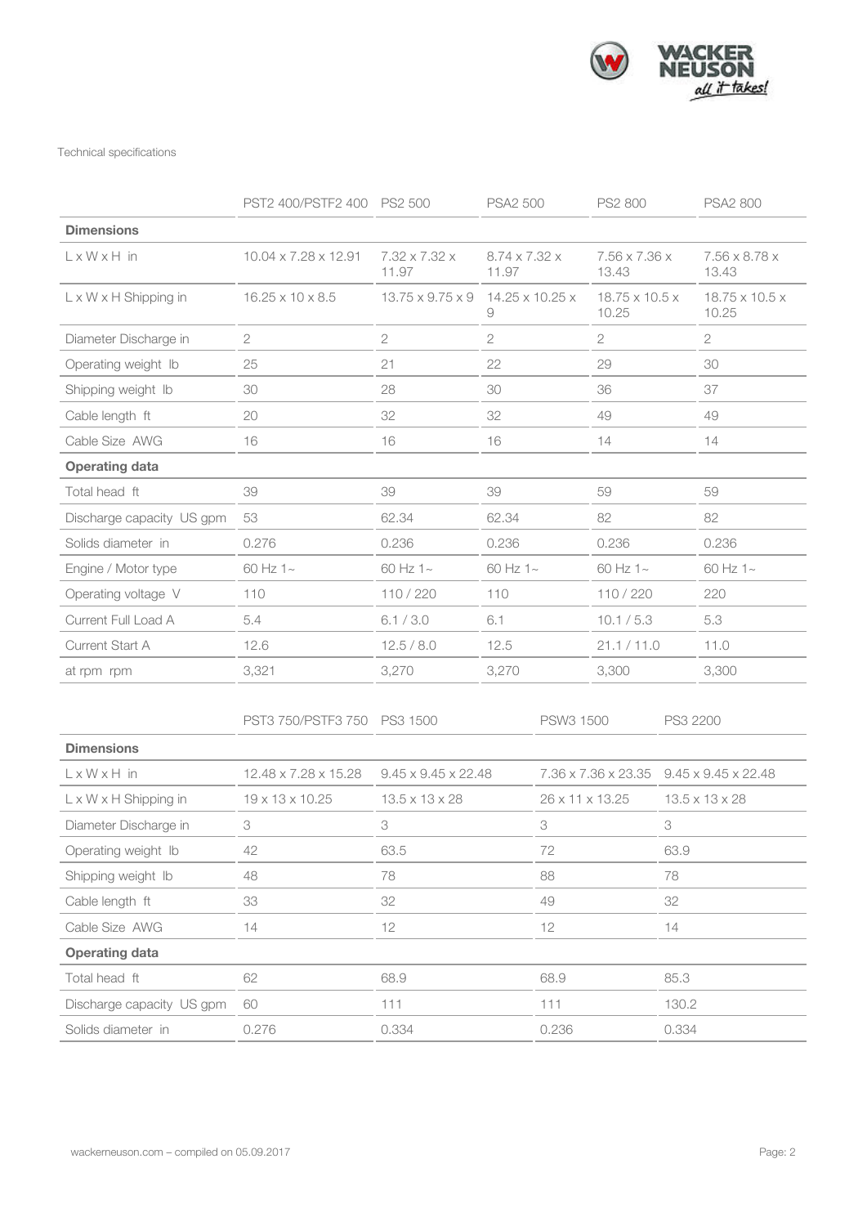

Technical specifications

|                                   | PST2 400/PSTF2 400 PS2 500 |                                 | <b>PSA2 500</b>                                              |                 | PS2 800                             |                            | <b>PSA2 800</b>                     |  |
|-----------------------------------|----------------------------|---------------------------------|--------------------------------------------------------------|-----------------|-------------------------------------|----------------------------|-------------------------------------|--|
| <b>Dimensions</b>                 |                            |                                 |                                                              |                 |                                     |                            |                                     |  |
| $L \times W \times H$ in          | 10.04 x 7.28 x 12.91       | 7.32 x 7.32 x<br>11.97          | $8.74 \times 7.32 \times$<br>7.56 x 7.36 x<br>11.97<br>13.43 |                 |                                     | 7.56 x 8.78 x<br>13.43     |                                     |  |
| $L \times W \times H$ Shipping in | 16.25 x 10 x 8.5           | $13.75 \times 9.75 \times 9$    | 14.25 x 10.25 x<br>9                                         |                 | $18.75 \times 10.5 \times$<br>10.25 |                            | $18.75 \times 10.5 \times$<br>10.25 |  |
| Diameter Discharge in             | $\sqrt{2}$                 | $\mathbf{2}$                    | $\overline{c}$                                               | 2               |                                     |                            | $\overline{c}$                      |  |
| Operating weight Ib               | 25                         | 21                              | 22                                                           | 29              |                                     |                            | 30                                  |  |
| Shipping weight Ib                | 30                         | 28                              | 30                                                           | 36              |                                     |                            | 37                                  |  |
| Cable length ft                   | 20                         | 32                              | 32                                                           |                 | 49                                  |                            | 49                                  |  |
| Cable Size AWG                    | 16                         | 16                              | 16<br>14                                                     |                 |                                     |                            | 14                                  |  |
| <b>Operating data</b>             |                            |                                 |                                                              |                 |                                     |                            |                                     |  |
| Total head ft                     | 39                         | 39                              | 39                                                           | 59              |                                     |                            | 59                                  |  |
| Discharge capacity US gpm         | 53                         | 62.34                           | 62.34                                                        |                 | 82                                  |                            | 82                                  |  |
| Solids diameter in                | 0.276                      | 0.236                           | 0.236                                                        |                 | 0.236                               |                            | 0.236                               |  |
| Engine / Motor type               | 60 Hz 1~                   | 60 Hz 1~                        | 60 Hz 1~                                                     |                 | 60 Hz 1~                            |                            | 60 Hz 1~                            |  |
| Operating voltage V               | 110                        | 110/220                         | 110                                                          |                 | 110/220                             |                            | 220                                 |  |
| Current Full Load A               | 5.4                        | 6.1 / 3.0                       | 6.1                                                          |                 | 10.1 / 5.3                          |                            | 5.3                                 |  |
| Current Start A                   | 12.6                       | 12.5 / 8.0                      | 12.5                                                         |                 | 21.1 / 11.0                         |                            | 11.0                                |  |
| at rpm rpm                        | 3,321                      | 3,270                           | 3,270                                                        |                 | 3,300                               |                            | 3,300                               |  |
|                                   | PST3 750/PSTF3 750         | PS3 1500                        |                                                              | PSW3 1500       |                                     | PS3 2200                   |                                     |  |
| <b>Dimensions</b>                 |                            |                                 |                                                              |                 |                                     |                            |                                     |  |
| $L \times W \times H$ in          | 12.48 x 7.28 x 15.28       | $9.45 \times 9.45 \times 22.48$ |                                                              |                 | 7.36 x 7.36 x 23.35                 |                            | $9.45 \times 9.45 \times 22.48$     |  |
| $L \times W \times H$ Shipping in | 19 x 13 x 10.25            | $13.5 \times 13 \times 28$      |                                                              | 26 x 11 x 13.25 |                                     | $13.5 \times 13 \times 28$ |                                     |  |
| Diameter Discharge in             | 3                          | 3                               |                                                              | 3               |                                     | 3                          |                                     |  |
| Operating weight Ib               | 42                         | 63.5                            |                                                              | 72              |                                     | 63.9                       |                                     |  |
| Shipping weight Ib                | 48                         | 78                              |                                                              | 88              |                                     | 78                         |                                     |  |
| Cable length ft                   | 33                         | 32                              |                                                              | 49              |                                     | 32                         |                                     |  |
| Cable Size AWG                    | 14                         | 12                              |                                                              | 12              |                                     | 14                         |                                     |  |
| <b>Operating data</b>             |                            |                                 |                                                              |                 |                                     |                            |                                     |  |
| Total head ft                     | 62                         | 68.9                            |                                                              | 68.9            |                                     | 85.3                       |                                     |  |
| Discharge capacity US gpm         | 60                         | 111                             |                                                              |                 | 111                                 |                            | 130.2                               |  |
| Solids diameter in                | 0.276                      | 0.334                           |                                                              | 0.236           |                                     | 0.334                      |                                     |  |